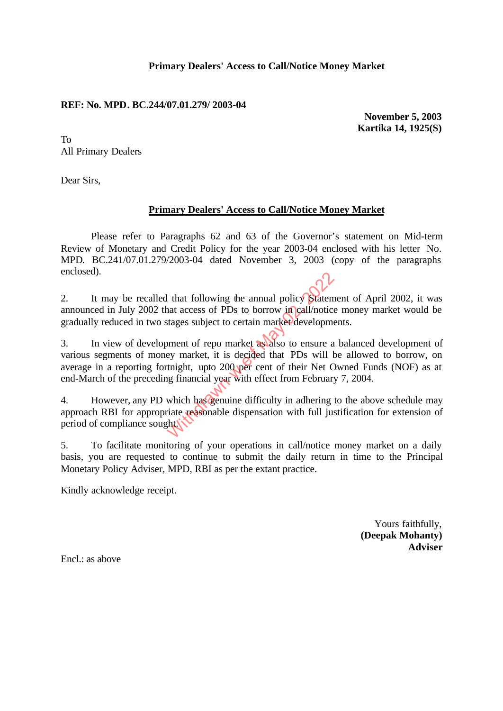### **Primary Dealers' Access to Call/Notice Money Market**

### **REF: No. MPD. BC.244/07.01.279/ 2003-04**

**November 5, 2003 Kartika 14, 1925(S)**

To All Primary Dealers

Dear Sirs,

## **Primary Dealers' Access to Call/Notice Money Market**

Please refer to Paragraphs 62 and 63 of the Governor's statement on Mid-term Review of Monetary and Credit Policy for the year 2003-04 enclosed with his letter No. MPD. BC.241/07.01.279/2003-04 dated November 3, 2003 (copy of the paragraphs enclosed).

2. It may be recalled that following the annual policy Statement of April 2002, it was announced in July 2002 that access of PDs to borrow in call/notice money market would be gradually reduced in two stages subject to certain market developments.

3. In view of development of repo market as also to ensure a balanced development of various segments of money market, it is decided that PDs will be allowed to borrow, on average in a reporting fortnight, upto 200 per cent of their Net Owned Funds (NOF) as at end-March of the preceding financial year with effect from February 7, 2004. I that following the annual policy Statem<br>
hat access of PDs to borrow in call/notice<br>
stages subject to certain market developme<br>
ment of repo market as also to ensure a<br>
ey market, it is decided that PDs will b<br>
thight,

4. However, any PD which has genuine difficulty in adhering to the above schedule may approach RBI for appropriate reasonable dispensation with full justification for extension of period of compliance sought.

5. To facilitate monitoring of your operations in call/notice money market on a daily basis, you are requested to continue to submit the daily return in time to the Principal Monetary Policy Adviser, MPD, RBI as per the extant practice.

Kindly acknowledge receipt.

Yours faithfully, **(Deepak Mohanty) Adviser**

Encl.: as above